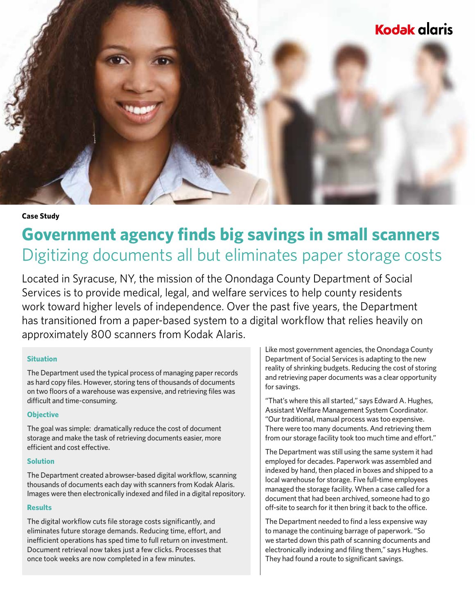

### **Case Study**

# **Government agency finds big savings in small scanners** Digitizing documents all but eliminates paper storage costs

Located in Syracuse, NY, the mission of the Onondaga County Department of Social Services is to provide medical, legal, and welfare services to help county residents work toward higher levels of independence. Over the past five years, the Department has transitioned from a paper-based system to a digital workflow that relies heavily on approximately 800 scanners from Kodak Alaris.

### **Situation**

The Department used the typical process of managing paper records as hard copy files. However, storing tens of thousands of documents on two floors of a warehouse was expensive, and retrieving files was difficult and time-consuming.

# **Objective**

The goal was simple: dramatically reduce the cost of document storage and make the task of retrieving documents easier, more efficient and cost effective.

### **Solution**

The Department created a browser-based digital workflow, scanning thousands of documents each day with scanners from Kodak Alaris. Images were then electronically indexed and filed in a digital repository.

## **Results**

The digital workflow cuts file storage costs significantly, and eliminates future storage demands. Reducing time, effort, and inefficient operations has sped time to full return on investment. Document retrieval now takes just a few clicks. Processes that once took weeks are now completed in a few minutes.

Like most government agencies, the Onondaga County Department of Social Services is adapting to the new reality of shrinking budgets. Reducing the cost of storing and retrieving paper documents was a clear opportunity for savings.

"That's where this all started," says Edward A. Hughes, Assistant Welfare Management System Coordinator. "Our traditional, manual process was too expensive. There were too many documents. And retrieving them from our storage facility took too much time and effort."

The Department was still using the same system it had employed for decades. Paperwork was assembled and indexed by hand, then placed in boxes and shipped to a local warehouse for storage. Five full-time employees managed the storage facility. When a case called for a document that had been archived, someone had to go off-site to search for it then bring it back to the office.

The Department needed to find a less expensive way to manage the continuing barrage of paperwork. "So we started down this path of scanning documents and electronically indexing and filing them," says Hughes. They had found a route to significant savings.